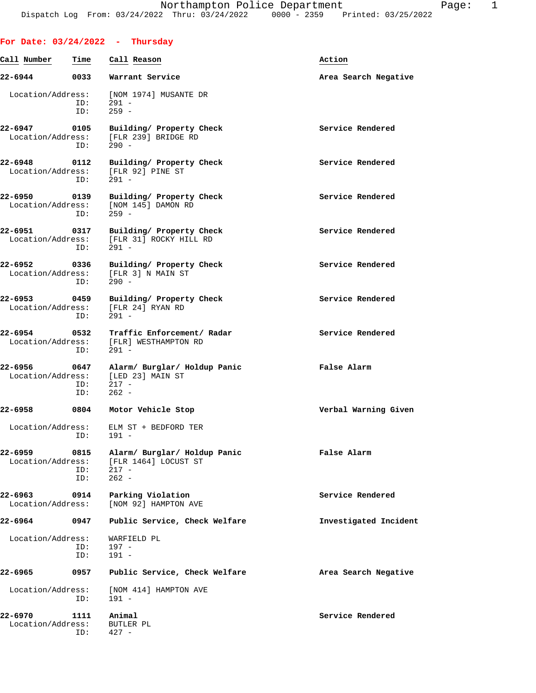| For Date: $03/24/2022 - Thursday$ |                    |                                                                                 |                       |
|-----------------------------------|--------------------|---------------------------------------------------------------------------------|-----------------------|
| Call Number                       | Time               | Call Reason                                                                     | Action                |
| 22-6944                           | 0033               | Warrant Service                                                                 | Area Search Negative  |
|                                   | ID:<br>ID:         | Location/Address: [NOM 1974] MUSANTE DR<br>$291 -$<br>$259 -$                   |                       |
| 22-6947 0105                      | ID:                | Building/ Property Check<br>Location/Address: [FLR 239] BRIDGE RD<br>$290 -$    | Service Rendered      |
| 22-6948 0112                      | ID:                | Building/ Property Check<br>Location/Address: [FLR 92] PINE ST<br>$291 -$       | Service Rendered      |
| 22-6950 0139                      | ID:                | Building/ Property Check<br>Location/Address: [NOM 145] DAMON RD<br>$259 -$     | Service Rendered      |
| 22-6951                           | 0317<br>ID:        | Building/ Property Check<br>Location/Address: [FLR 31] ROCKY HILL RD<br>$291 -$ | Service Rendered      |
| 22-6952 0336                      | ID:                | Building/ Property Check<br>Location/Address: [FLR 3] N MAIN ST<br>$290 -$      | Service Rendered      |
| 22-6953 0459                      | ID:                | Building/ Property Check<br>Location/Address: [FLR 24] RYAN RD<br>$291 -$       | Service Rendered      |
| 22-6954 0532                      | ID:                | Traffic Enforcement/ Radar<br>Location/Address: [FLR] WESTHAMPTON RD<br>$291 -$ | Service Rendered      |
| 22-6956<br>Location/Address:      | 0647<br>ID:<br>ID: | Alarm/ Burglar/ Holdup Panic<br>[LED 23] MAIN ST<br>$217 -$<br>$262 -$          | False Alarm           |
|                                   |                    | 22-6958 0804 Motor Vehicle Stop                                                 | Verbal Warning Given  |
|                                   | ID:                | Location/Address: ELM ST + BEDFORD TER<br>$191 -$                               |                       |
| 22-6959<br>Location/Address:      | 0815<br>ID:<br>ID: | Alarm/ Burglar/ Holdup Panic<br>[FLR 1464] LOCUST ST<br>$217 -$<br>$262 -$      | False Alarm           |
| 22-6963 0914<br>Location/Address: |                    | Parking Violation<br>[NOM 92] HAMPTON AVE                                       | Service Rendered      |
| 22-6964                           | 0947               | Public Service, Check Welfare                                                   | Investigated Incident |
| Location/Address:                 | ID:<br>ID:         | WARFIELD PL<br>197 -<br>$191 -$                                                 |                       |
| 22-6965                           | 0957               | Public Service, Check Welfare                                                   | Area Search Negative  |
| Location/Address:                 | ID:                | [NOM 414] HAMPTON AVE<br>$191 -$                                                |                       |
| 22-6970<br>Location/Address:      | 1111<br>ID:        | Animal<br>BUTLER PL<br>$427 -$                                                  | Service Rendered      |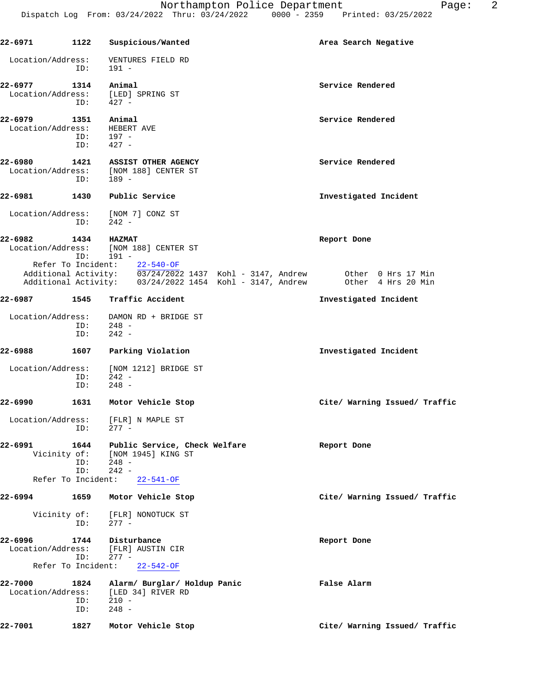| $22 - 6971$                                        | 1122               | Suspicious/Wanted                                                                                                                                                  | Area Search Negative          |
|----------------------------------------------------|--------------------|--------------------------------------------------------------------------------------------------------------------------------------------------------------------|-------------------------------|
| Location/Address:                                  | ID:                | VENTURES FIELD RD<br>191 -                                                                                                                                         |                               |
| 22-6977<br>Location/Address:                       | 1314<br>ID:        | Animal<br>[LED] SPRING ST<br>$427 -$                                                                                                                               | Service Rendered              |
| 22-6979<br>Location/Address:                       | 1351<br>ID:<br>ID: | Animal<br>HEBERT AVE<br>$197 -$<br>$427 -$                                                                                                                         | Service Rendered              |
| 22-6980                                            | 1421<br>ID:        | <b>ASSIST OTHER AGENCY</b><br>Location/Address: [NOM 188] CENTER ST<br>189 -                                                                                       | Service Rendered              |
| 22-6981                                            | 1430               | Public Service                                                                                                                                                     | Investigated Incident         |
| Location/Address:                                  | ID:                | [NOM 7] CONZ ST<br>$242 -$                                                                                                                                         |                               |
| 22-6982                                            | 1434<br>ID:        | <b>HAZMAT</b><br>Location/Address: [NOM 188] CENTER ST<br>$191 -$<br>Refer To Incident: $\frac{22-540-OF}{03/24/2022}$ 1437 Kohl - 3147, Andrew Other 0 Hrs 17 Min | Report Done                   |
|                                                    |                    | Additional Activity: 03/24/2022 1454 Kohl - 3147, Andrew 0ther 4 Hrs 20 Min                                                                                        |                               |
| 22-6987                                            |                    | 1545 Traffic Accident                                                                                                                                              | Investigated Incident         |
| Location/Address:                                  | ID:<br>ID:         | DAMON RD + BRIDGE ST<br>$248 -$<br>$242 -$                                                                                                                         |                               |
| 22-6988                                            | 1607               | Parking Violation                                                                                                                                                  | Investigated Incident         |
| Location/Address:                                  | ID:<br>ID:         | [NOM 1212] BRIDGE ST<br>$242 -$<br>$248 -$                                                                                                                         |                               |
| 22-6990                                            | 1631               | Motor Vehicle Stop                                                                                                                                                 | Cite/ Warning Issued/ Traffic |
| Location/Address:                                  | ID:                | [FLR] N MAPLE ST<br>277 -                                                                                                                                          |                               |
| 22-6991<br>Vicinity of:                            | 1644<br>ID:<br>ID: | Public Service, Check Welfare<br>[NOM 1945] KING ST<br>$248 -$<br>$242 -$                                                                                          | Report Done                   |
| Refer To Incident:                                 |                    | $22 - 541 - OF$                                                                                                                                                    |                               |
| 22-6994                                            | 1659               | Motor Vehicle Stop                                                                                                                                                 | Cite/ Warning Issued/ Traffic |
| Vicinity of:                                       | ID:                | [FLR] NONOTUCK ST<br>$277 -$                                                                                                                                       |                               |
| 22-6996<br>Location/Address:<br>Refer To Incident: | 1744<br>ID:        | Disturbance<br>[FLR] AUSTIN CIR<br>$277 -$<br>$22 - 542 - OF$                                                                                                      | Report Done                   |
| 22-7000<br>Location/Address:                       | 1824<br>ID:        | Alarm/ Burglar/ Holdup Panic<br>[LED 34] RIVER RD<br>$210 -$                                                                                                       | False Alarm                   |
| 22-7001                                            | ID:<br>1827        | $248 -$<br>Motor Vehicle Stop                                                                                                                                      | Cite/ Warning Issued/ Traffic |